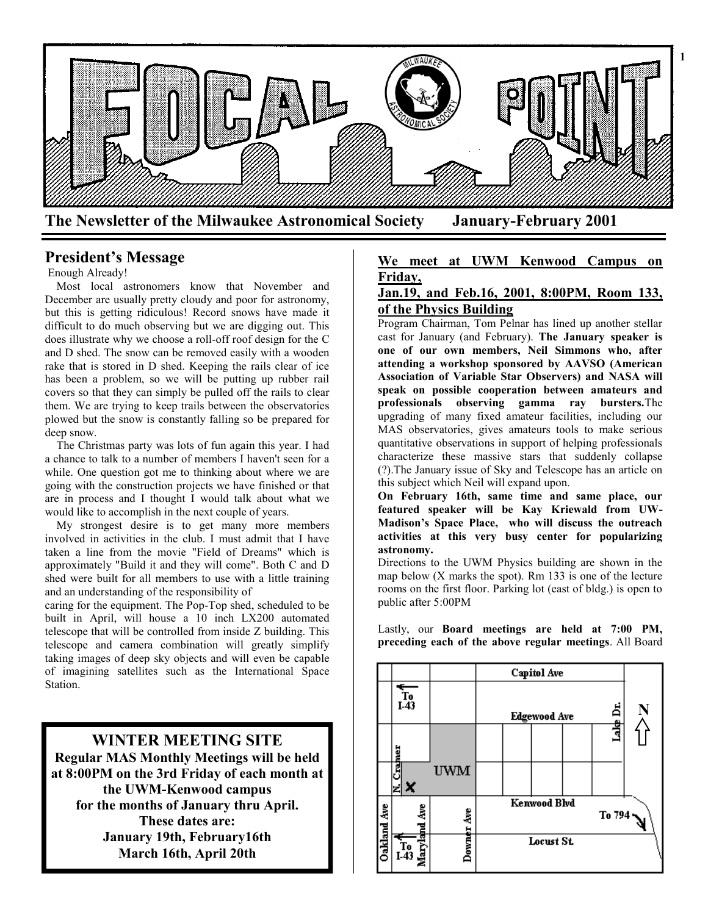

# **President's Message**

### Enough Already!

 Most local astronomers know that November and December are usually pretty cloudy and poor for astronomy, but this is getting ridiculous! Record snows have made it difficult to do much observing but we are digging out. This does illustrate why we choose a roll-off roof design for the C and D shed. The snow can be removed easily with a wooden rake that is stored in D shed. Keeping the rails clear of ice has been a problem, so we will be putting up rubber rail covers so that they can simply be pulled off the rails to clear them. We are trying to keep trails between the observatories plowed but the snow is constantly falling so be prepared for deep snow.

 The Christmas party was lots of fun again this year. I had a chance to talk to a number of members I haven't seen for a while. One question got me to thinking about where we are going with the construction projects we have finished or that are in process and I thought I would talk about what we would like to accomplish in the next couple of years.

 My strongest desire is to get many more members involved in activities in the club. I must admit that I have taken a line from the movie "Field of Dreams" which is approximately "Build it and they will come". Both C and D shed were built for all members to use with a little training and an understanding of the responsibility of

caring for the equipment. The Pop-Top shed, scheduled to be built in April, will house a 10 inch LX200 automated telescope that will be controlled from inside Z building. This telescope and camera combination will greatly simplify taking images of deep sky objects and will even be capable of imagining satellites such as the International Space Station.

## **WINTER MEETING SITE Regular MAS Monthly Meetings will be held at 8:00PM on the 3rd Friday of each month at the UWM-Kenwood campus for the months of January thru April. These dates are: January 19th, February16th March 16th, April 20th**

#### **We meet at UWM Kenwood Campus on Friday,**

## **Jan.19, and Feb.16, 2001, 8:00PM, Room 133, of the Physics Building**

Program Chairman, Tom Pelnar has lined up another stellar cast for January (and February). **The January speaker is one of our own members, Neil Simmons who, after attending a workshop sponsored by AAVSO (American Association of Variable Star Observers) and NASA will speak on possible cooperation between amateurs and professionals observing gamma ray bursters.**The upgrading of many fixed amateur facilities, including our MAS observatories, gives amateurs tools to make serious quantitative observations in support of helping professionals characterize these massive stars that suddenly collapse (?).The January issue of Sky and Telescope has an article on this subject which Neil will expand upon.

**On February 16th, same time and same place, our featured speaker will be Kay Kriewald from UW-Madison's Space Place, who will discuss the outreach activities at this very busy center for popularizing astronomy.**

Directions to the UWM Physics building are shown in the map below (X marks the spot). Rm 133 is one of the lecture rooms on the first floor. Parking lot (east of bldg.) is open to public after 5:00PM

Lastly, our **Board meetings are held at 7:00 PM, preceding each of the above regular meetings**. All Board

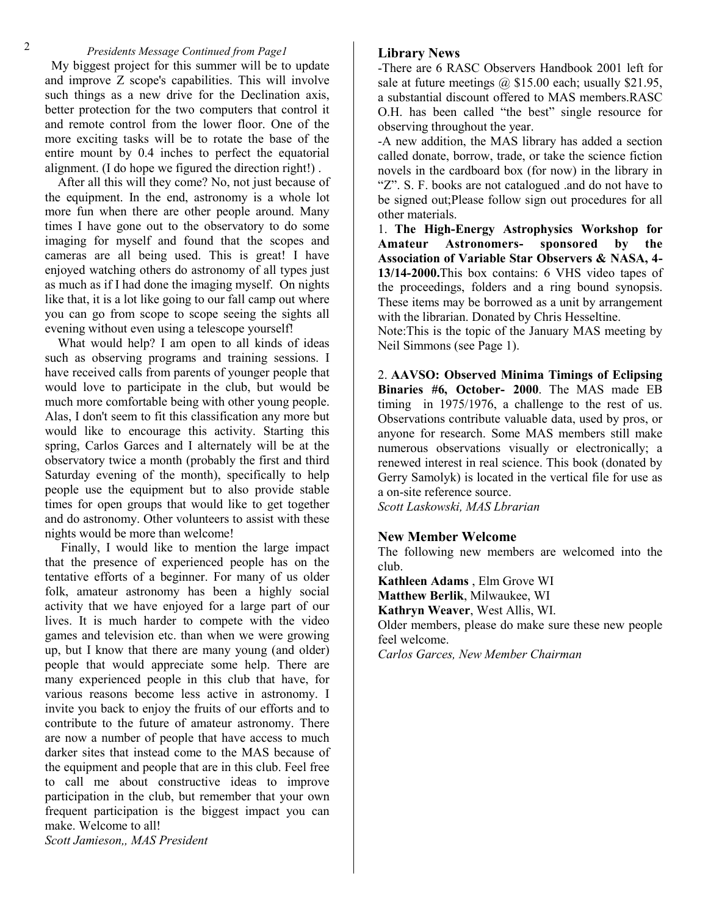#### *Presidents Message Continued from Page1*

 My biggest project for this summer will be to update and improve Z scope's capabilities. This will involve such things as a new drive for the Declination axis, better protection for the two computers that control it and remote control from the lower floor. One of the more exciting tasks will be to rotate the base of the entire mount by 0.4 inches to perfect the equatorial alignment. (I do hope we figured the direction right!) .

 After all this will they come? No, not just because of the equipment. In the end, astronomy is a whole lot more fun when there are other people around. Many times I have gone out to the observatory to do some imaging for myself and found that the scopes and cameras are all being used. This is great! I have enjoyed watching others do astronomy of all types just as much as if I had done the imaging myself. On nights like that, it is a lot like going to our fall camp out where you can go from scope to scope seeing the sights all evening without even using a telescope yourself!

 What would help? I am open to all kinds of ideas such as observing programs and training sessions. I have received calls from parents of younger people that would love to participate in the club, but would be much more comfortable being with other young people. Alas, I don't seem to fit this classification any more but would like to encourage this activity. Starting this spring, Carlos Garces and I alternately will be at the observatory twice a month (probably the first and third Saturday evening of the month), specifically to help people use the equipment but to also provide stable times for open groups that would like to get together and do astronomy. Other volunteers to assist with these nights would be more than welcome!

 Finally, I would like to mention the large impact that the presence of experienced people has on the tentative efforts of a beginner. For many of us older folk, amateur astronomy has been a highly social activity that we have enjoyed for a large part of our lives. It is much harder to compete with the video games and television etc. than when we were growing up, but I know that there are many young (and older) people that would appreciate some help. There are many experienced people in this club that have, for various reasons become less active in astronomy. I invite you back to enjoy the fruits of our efforts and to contribute to the future of amateur astronomy. There are now a number of people that have access to much darker sites that instead come to the MAS because of the equipment and people that are in this club. Feel free to call me about constructive ideas to improve participation in the club, but remember that your own frequent participation is the biggest impact you can make. Welcome to all!

**Library News**

-There are 6 RASC Observers Handbook 2001 left for sale at future meetings  $\omega$  \$15.00 each; usually \$21.95, a substantial discount offered to MAS members.RASC O.H. has been called "the best" single resource for observing throughout the year.

-A new addition, the MAS library has added a section called donate, borrow, trade, or take the science fiction novels in the cardboard box (for now) in the library in "Z". S. F. books are not catalogued .and do not have to be signed out;Please follow sign out procedures for all other materials.

1. **The High-Energy Astrophysics Workshop for Amateur Astronomers- sponsored by the Association of Variable Star Observers & NASA, 4- 13/14-2000.**This box contains: 6 VHS video tapes of the proceedings, folders and a ring bound synopsis. These items may be borrowed as a unit by arrangement with the librarian. Donated by Chris Hesseltine.

Note:This is the topic of the January MAS meeting by Neil Simmons (see Page 1).

2. **AAVSO: Observed Minima Timings of Eclipsing Binaries #6, October- 2000**. The MAS made EB timing in 1975/1976, a challenge to the rest of us. Observations contribute valuable data, used by pros, or anyone for research. Some MAS members still make numerous observations visually or electronically; a renewed interest in real science. This book (donated by Gerry Samolyk) is located in the vertical file for use as a on-site reference source.

*Scott Laskowski, MAS Lbrarian*

#### **New Member Welcome**

The following new members are welcomed into the club.

**Kathleen Adams** , Elm Grove WI **Matthew Berlik**, Milwaukee, WI **Kathryn Weaver**, West Allis, WI. Older members, please do make sure these new people feel welcome.

*Carlos Garces, New Member Chairman*

*Scott Jamieson,, MAS President*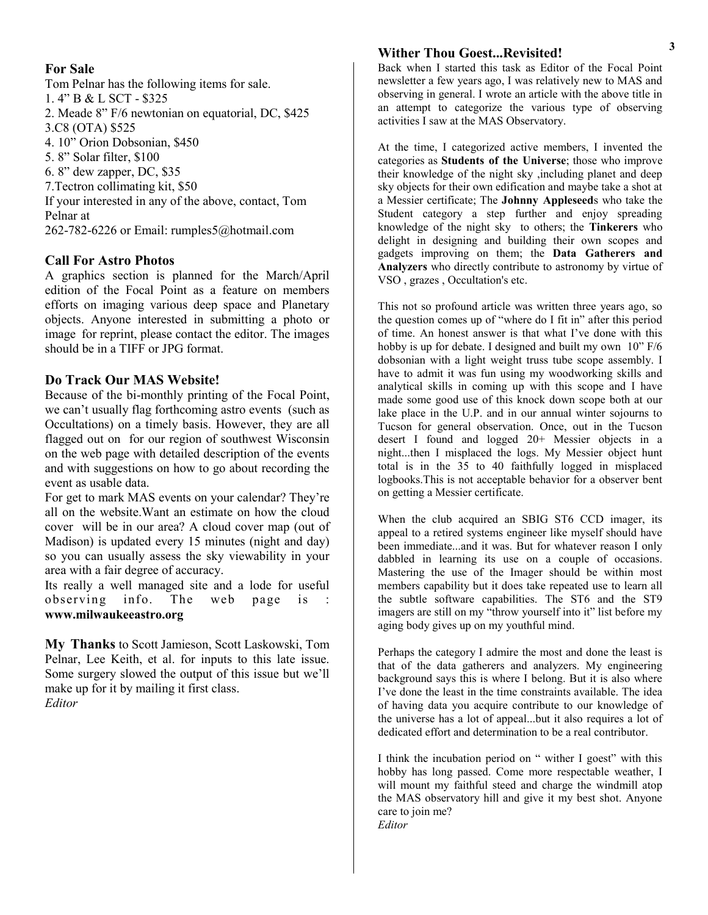### **For Sale**

Tom Pelnar has the following items for sale. 1. 4" B & L SCT - \$325 2. Meade 8" F/6 newtonian on equatorial, DC, \$425 3.C8 (OTA) \$525 4. 10" Orion Dobsonian, \$450 5. 8" Solar filter, \$100 6. 8" dew zapper, DC, \$35 7.Tectron collimating kit, \$50 If your interested in any of the above, contact, Tom Pelnar at 262-782-6226 or Email: rumples5@hotmail.com

## **Call For Astro Photos**

A graphics section is planned for the March/April edition of the Focal Point as a feature on members efforts on imaging various deep space and Planetary objects. Anyone interested in submitting a photo or image for reprint, please contact the editor. The images should be in a TIFF or JPG format.

### **Do Track Our MAS Website!**

Because of the bi-monthly printing of the Focal Point, we can't usually flag forthcoming astro events (such as Occultations) on a timely basis. However, they are all flagged out on for our region of southwest Wisconsin on the web page with detailed description of the events and with suggestions on how to go about recording the event as usable data.

For get to mark MAS events on your calendar? They're all on the website.Want an estimate on how the cloud cover will be in our area? A cloud cover map (out of Madison) is updated every 15 minutes (night and day) so you can usually assess the sky viewability in your area with a fair degree of accuracy.

Its really a well managed site and a lode for useful observing info. The web page is **www.milwaukeeastro.org**

**My Thanks** to Scott Jamieson, Scott Laskowski, Tom Pelnar, Lee Keith, et al. for inputs to this late issue. Some surgery slowed the output of this issue but we'll make up for it by mailing it first class. *Editor*

### **Wither Thou Goest...Revisited!**

Back when I started this task as Editor of the Focal Point newsletter a few years ago, I was relatively new to MAS and observing in general. I wrote an article with the above title in an attempt to categorize the various type of observing activities I saw at the MAS Observatory.

At the time, I categorized active members, I invented the categories as **Students of the Universe**; those who improve their knowledge of the night sky ,including planet and deep sky objects for their own edification and maybe take a shot at a Messier certificate; The **Johnny Appleseed**s who take the Student category a step further and enjoy spreading knowledge of the night sky to others; the **Tinkerers** who delight in designing and building their own scopes and gadgets improving on them; the **Data Gatherers and Analyzers** who directly contribute to astronomy by virtue of VSO , grazes , Occultation's etc.

This not so profound article was written three years ago, so the question comes up of "where do I fit in" after this period of time. An honest answer is that what I've done with this hobby is up for debate. I designed and built my own 10" F/6 dobsonian with a light weight truss tube scope assembly. I have to admit it was fun using my woodworking skills and analytical skills in coming up with this scope and I have made some good use of this knock down scope both at our lake place in the U.P. and in our annual winter sojourns to Tucson for general observation. Once, out in the Tucson desert I found and logged 20+ Messier objects in a night...then I misplaced the logs. My Messier object hunt total is in the 35 to 40 faithfully logged in misplaced logbooks.This is not acceptable behavior for a observer bent on getting a Messier certificate.

When the club acquired an SBIG ST6 CCD imager, its appeal to a retired systems engineer like myself should have been immediate...and it was. But for whatever reason I only dabbled in learning its use on a couple of occasions. Mastering the use of the Imager should be within most members capability but it does take repeated use to learn all the subtle software capabilities. The ST6 and the ST9 imagers are still on my "throw yourself into it" list before my aging body gives up on my youthful mind.

Perhaps the category I admire the most and done the least is that of the data gatherers and analyzers. My engineering background says this is where I belong. But it is also where I've done the least in the time constraints available. The idea of having data you acquire contribute to our knowledge of the universe has a lot of appeal...but it also requires a lot of dedicated effort and determination to be a real contributor.

I think the incubation period on " wither I goest" with this hobby has long passed. Come more respectable weather, I will mount my faithful steed and charge the windmill atop the MAS observatory hill and give it my best shot. Anyone care to join me? *Editor*